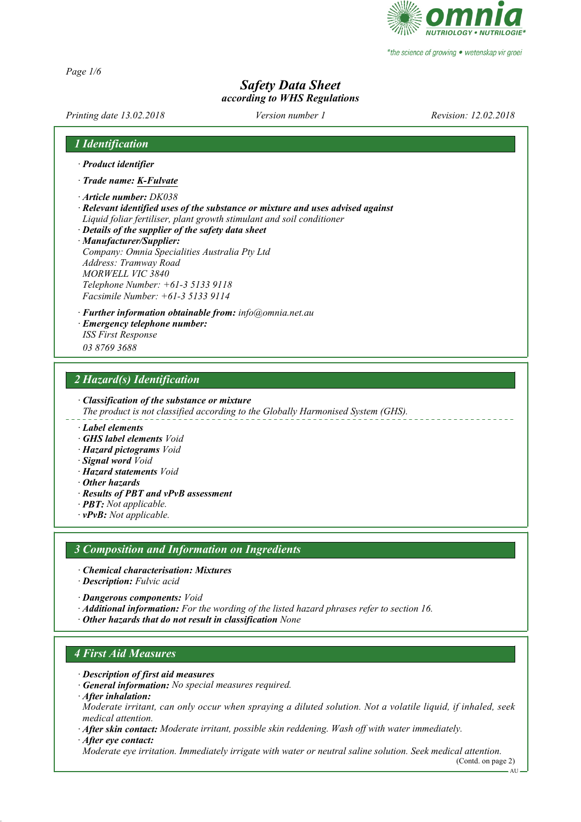

\*the science of growing • wetenskap vir groei

*Page 1/6*

### *Safety Data Sheet according to WHS Regulations*

*Printing date 13.02.2018 Revision: 12.02.2018 Version number 1*

#### *1 Identification*

- *· Product identifier*
- *· Trade name: K-Fulvate*
- *· Article number: DK038*
- *· Relevant identified uses of the substance or mixture and uses advised against Liquid foliar fertiliser, plant growth stimulant and soil conditioner*
- *· Details of the supplier of the safety data sheet*

*· Manufacturer/Supplier: Company: Omnia Specialities Australia Pty Ltd Address: Tramway Road MORWELL VIC 3840 Telephone Number: +61-3 5133 9118 Facsimile Number: +61-3 5133 9114*

*· Further information obtainable from: info@omnia.net.au*

*· Emergency telephone number:*

*ISS First Response 03 8769 3688*

#### *2 Hazard(s) Identification*

*· Classification of the substance or mixture*

*The product is not classified according to the Globally Harmonised System (GHS).*

#### *· Label elements*

- *· GHS label elements Void*
- *· Hazard pictograms Void*
- *· Signal word Void*
- *· Hazard statements Void*
- *· Other hazards*
- *· Results of PBT and vPvB assessment*
- *· PBT: Not applicable.*
- *· vPvB: Not applicable.*

#### *3 Composition and Information on Ingredients*

- *· Chemical characterisation: Mixtures*
- *· Description: Fulvic acid*
- *· Dangerous components: Void*
- *· Additional information: For the wording of the listed hazard phrases refer to section 16.*
- *· Other hazards that do not result in classification None*

#### *4 First Aid Measures*

- *· Description of first aid measures*
- *· General information: No special measures required.*
- *· After inhalation:*

*Moderate irritant, can only occur when spraying a diluted solution. Not a volatile liquid, if inhaled, seek medical attention.*

- *· After skin contact: Moderate irritant, possible skin reddening. Wash off with water immediately.*
- *· After eye contact:*

*Moderate eye irritation. Immediately irrigate with water or neutral saline solution. Seek medical attention.*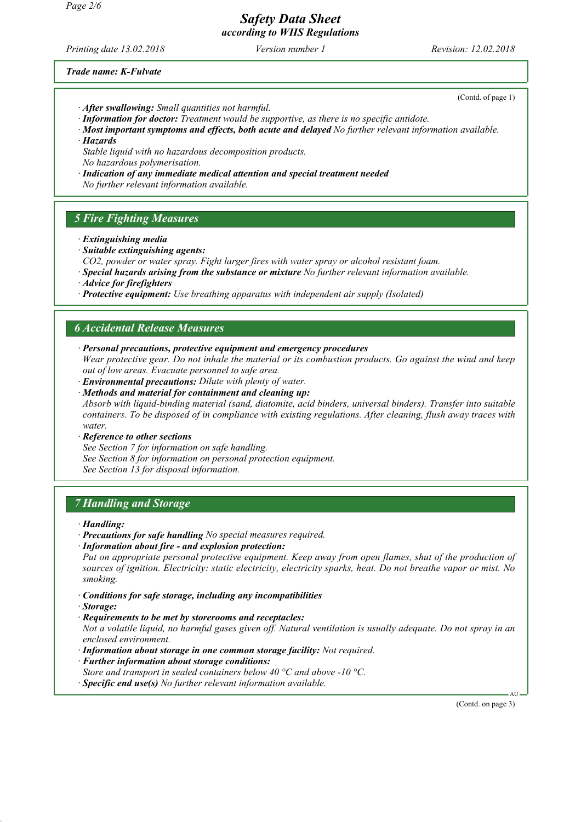*Safety Data Sheet according to WHS Regulations*

*Printing date 13.02.2018 Revision: 12.02.2018 Version number 1*

(Contd. of page 1)

*Trade name: K-Fulvate*

- *· After swallowing: Small quantities not harmful.*
- *· Information for doctor: Treatment would be supportive, as there is no specific antidote.*

*· Most important symptoms and effects, both acute and delayed No further relevant information available. · Hazards*

*Stable liquid with no hazardous decomposition products. No hazardous polymerisation.*

*· Indication of any immediate medical attention and special treatment needed No further relevant information available.*

### *5 Fire Fighting Measures*

- *· Extinguishing media*
- *· Suitable extinguishing agents:*
- *CO2, powder or water spray. Fight larger fires with water spray or alcohol resistant foam.*
- *· Special hazards arising from the substance or mixture No further relevant information available.*
- *· Advice for firefighters*
- *· Protective equipment: Use breathing apparatus with independent air supply (Isolated)*

#### *6 Accidental Release Measures*

*· Personal precautions, protective equipment and emergency procedures*

*Wear protective gear. Do not inhale the material or its combustion products. Go against the wind and keep out of low areas. Evacuate personnel to safe area.*

- *· Environmental precautions: Dilute with plenty of water.*
- *· Methods and material for containment and cleaning up:*

*Absorb with liquid-binding material (sand, diatomite, acid binders, universal binders). Transfer into suitable containers. To be disposed of in compliance with existing regulations. After cleaning, flush away traces with water.*

*· Reference to other sections*

*See Section 7 for information on safe handling. See Section 8 for information on personal protection equipment. See Section 13 for disposal information.*

### *7 Handling and Storage*

- *· Handling:*
- *· Precautions for safe handling No special measures required.*
- *· Information about fire and explosion protection:*

*Put on appropriate personal protective equipment. Keep away from open flames, shut of the production of sources of ignition. Electricity: static electricity, electricity sparks, heat. Do not breathe vapor or mist. No smoking.*

- *· Conditions for safe storage, including any incompatibilities*
- *· Storage:*
- *· Requirements to be met by storerooms and receptacles:*

*Not a volatile liquid, no harmful gases given off. Natural ventilation is usually adequate. Do not spray in an enclosed environment.*

- *· Information about storage in one common storage facility: Not required.*
- *· Further information about storage conditions:*
- *Store and transport in sealed containers below 40 °C and above -10 °C.*
- *· Specific end use(s) No further relevant information available.*

(Contd. on page 3)

AU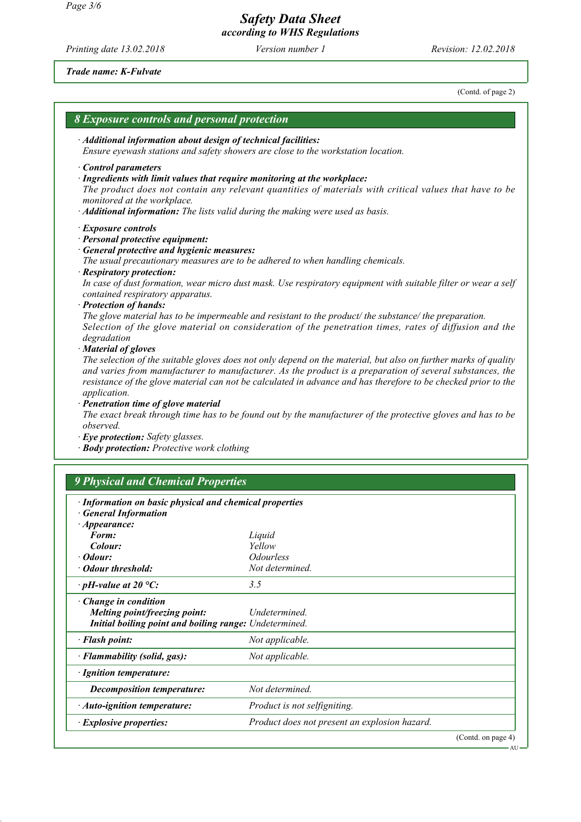*Safety Data Sheet according to WHS Regulations*

*Printing date 13.02.2018 Revision: 12.02.2018 Version number 1*

*Trade name: K-Fulvate*

(Contd. of page 2) *8 Exposure controls and personal protection · Additional information about design of technical facilities: Ensure eyewash stations and safety showers are close to the workstation location. · Control parameters · Ingredients with limit values that require monitoring at the workplace: The product does not contain any relevant quantities of materials with critical values that have to be monitored at the workplace. · Additional information: The lists valid during the making were used as basis. · Exposure controls · Personal protective equipment: · General protective and hygienic measures: The usual precautionary measures are to be adhered to when handling chemicals. · Respiratory protection: In case of dust formation, wear micro dust mask. Use respiratory equipment with suitable filter or wear a self contained respiratory apparatus. · Protection of hands: The glove material has to be impermeable and resistant to the product/ the substance/ the preparation. Selection of the glove material on consideration of the penetration times, rates of diffusion and the degradation · Material of gloves The selection of the suitable gloves does not only depend on the material, but also on further marks of quality and varies from manufacturer to manufacturer. As the product is a preparation of several substances, the resistance of the glove material can not be calculated in advance and has therefore to be checked prior to the application. · Penetration time of glove material The exact break through time has to be found out by the manufacturer of the protective gloves and has to be observed. · Eye protection: Safety glasses. · Body protection: Protective work clothing 9 Physical and Chemical Properties · Information on basic physical and chemical properties · General Information · Appearance: Form: Liquid Colour: Yellow · Odour: Odourless · Odour threshold: · pH-value at 20 °C: 3.5 · Change in condition Melting point/freezing point: Undetermined. Initial boiling point and boiling range: Undetermined. · Flash point:* Not applicable. *· Flammability (solid, gas): Not applicable. · Ignition temperature: Decomposition temperature: Not determined. <i>· Auto-ignition temperature: Product is not selfigniting. · Explosive properties: Product does not present an explosion hazard.* (Contd. on page 4) A<sub>L</sub>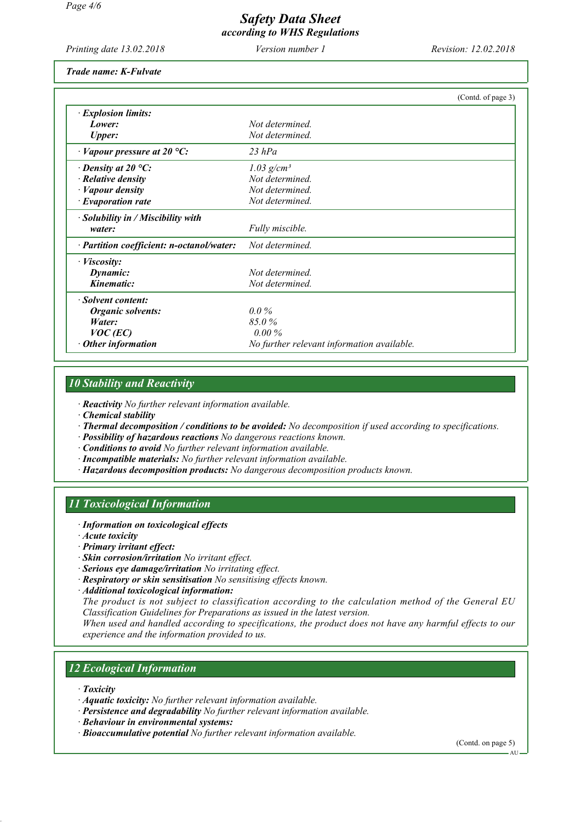# *Safety Data Sheet*

*according to WHS Regulations*

*Printing date 13.02.2018 Revision: 12.02.2018 Version number 1*

*Trade name: K-Fulvate*

|                                           | (Contd. of page 3)                         |
|-------------------------------------------|--------------------------------------------|
| $\cdot$ Explosion limits:                 |                                            |
| Lower:                                    | Not determined.                            |
| <b>Upper:</b>                             | Not determined.                            |
| $\cdot$ Vapour pressure at 20 °C:         | $23$ hPa                                   |
| $\cdot$ Density at 20 °C:                 | 1.03 $g/cm^3$                              |
| $\cdot$ Relative density                  | Not determined.                            |
| · Vapour density                          | Not determined.                            |
| $\cdot$ Evaporation rate                  | Not determined.                            |
| $\cdot$ Solubility in / Miscibility with  |                                            |
| water:                                    | Fully miscible.                            |
| · Partition coefficient: n-octanol/water: | Not determined.                            |
| · <i>Viscosity</i> :                      |                                            |
| Dynamic:                                  | Not determined.                            |
| Kinematic:                                | Not determined.                            |
| · Solvent content:                        |                                            |
| Organic solvents:                         | $0.0\%$                                    |
| Water:                                    | 85.0%                                      |
| $VOC$ (EC)                                | $0.00\%$                                   |
| $\cdot$ Other information                 | No further relevant information available. |

### *10 Stability and Reactivity*

*· Reactivity No further relevant information available.*

- *· Chemical stability*
- *· Thermal decomposition / conditions to be avoided: No decomposition if used according to specifications.*
- *· Possibility of hazardous reactions No dangerous reactions known.*
- *· Conditions to avoid No further relevant information available.*
- *· Incompatible materials: No further relevant information available.*
- *· Hazardous decomposition products: No dangerous decomposition products known.*

#### *11 Toxicological Information*

- *· Information on toxicological effects*
- *· Acute toxicity*
- *· Primary irritant effect:*
- *· Skin corrosion/irritation No irritant effect.*
- *· Serious eye damage/irritation No irritating effect.*
- *· Respiratory or skin sensitisation No sensitising effects known.*
- *· Additional toxicological information:*

*The product is not subject to classification according to the calculation method of the General EU Classification Guidelines for Preparations as issued in the latest version.*

*When used and handled according to specifications, the product does not have any harmful effects to our experience and the information provided to us.*

### *12 Ecological Information*

- *· Toxicity*
- *· Aquatic toxicity: No further relevant information available.*
- *· Persistence and degradability No further relevant information available.*
- *· Behaviour in environmental systems:*
- *· Bioaccumulative potential No further relevant information available.*

(Contd. on page 5)

AU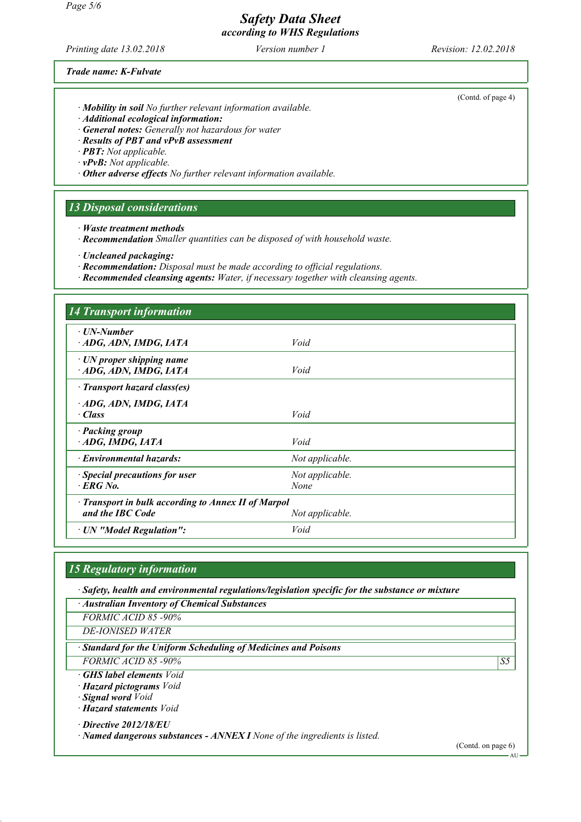#### *Page 5/6*

## *Safety Data Sheet*

*according to WHS Regulations*

*Printing date 13.02.2018 Revision: 12.02.2018 Version number 1*

#### *Trade name: K-Fulvate*

- *· Mobility in soil No further relevant information available.*
- *· Additional ecological information:*
- *· General notes: Generally not hazardous for water*
- *· Results of PBT and vPvB assessment*
- *· PBT: Not applicable.*
- *· vPvB: Not applicable.*
- *· Other adverse effects No further relevant information available.*

#### *13 Disposal considerations*

- *· Waste treatment methods*
- *· Recommendation Smaller quantities can be disposed of with household waste.*

- *· Recommendation: Disposal must be made according to official regulations.*
- *· Recommended cleansing agents: Water, if necessary together with cleansing agents.*

| <b>14 Transport information</b>                                         |                         |  |
|-------------------------------------------------------------------------|-------------------------|--|
| ⋅ UN-Number<br>ADG, ADN, IMDG, IATA                                     | Void                    |  |
| $\cdot$ UN proper shipping name<br>ADG, ADN, IMDG, IATA                 | Void                    |  |
| · Transport hazard class(es)                                            |                         |  |
| ADG, ADN, IMDG, IATA<br>· Class                                         | Void                    |  |
| · Packing group<br>ADG, IMDG, IATA                                      | Void                    |  |
| · Environmental hazards:                                                | Not applicable.         |  |
| · Special precautions for user<br>$EFG$ No.                             | Not applicable.<br>None |  |
| · Transport in bulk according to Annex II of Marpol<br>and the IBC Code | Not applicable.         |  |
| · UN "Model Regulation":                                                | Void                    |  |

### *15 Regulatory information*

*· Safety, health and environmental regulations/legislation specific for the substance or mixture*

*· Australian Inventory of Chemical Substances*

*FORMIC ACID 85 -90%*

*DE-IONISED WATER*

*· Standard for the Uniform Scheduling of Medicines and Poisons*

*FORMIC ACID 85 -90% S5* 

*· GHS label elements Void*

- *· Hazard pictograms Void*
- *· Signal word Void*

*· Hazard statements Void*

*· Directive 2012/18/EU*

*· Named dangerous substances - ANNEX I None of the ingredients is listed.*

(Contd. on page 6)

(Contd. of page 4)

*<sup>·</sup> Uncleaned packaging:*

AU